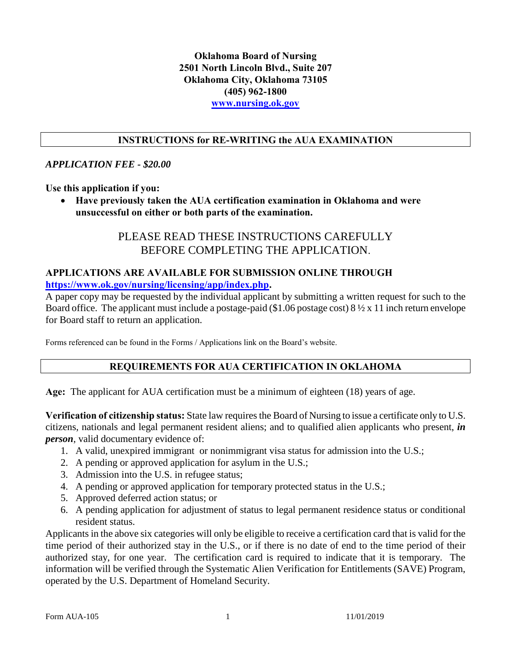### **Oklahoma Board of Nursing 2501 North Lincoln Blvd., Suite 207 Oklahoma City, Oklahoma 73105 (405) 962-1800 [www.nursing.ok.gov](http://www.ok.gov/nursing)**

### **INSTRUCTIONS for RE-WRITING the AUA EXAMINATION**

#### *APPLICATION FEE - \$20.00*

**Use this application if you:**

 **Have previously taken the AUA certification examination in Oklahoma and were unsuccessful on either or both parts of the examination.**

## PLEASE READ THESE INSTRUCTIONS CAREFULLY BEFORE COMPLETING THE APPLICATION.

## **APPLICATIONS ARE AVAILABLE FOR SUBMISSION ONLINE THROUGH [https://www.ok.gov/nursing/licensing/app/index.php.](https://www.ok.gov/nursing/licensing/app/index.php)**

A paper copy may be requested by the individual applicant by submitting a written request for such to the Board office. The applicant must include a postage-paid (\$1.06 postage cost)  $8\frac{1}{2}$  x 11 inch return envelope for Board staff to return an application.

Forms referenced can be found in the Forms / Applications link on the Board's website.

## **REQUIREMENTS FOR AUA CERTIFICATION IN OKLAHOMA**

**Age:** The applicant for AUA certification must be a minimum of eighteen (18) years of age.

**Verification of citizenship status:** State law requires the Board of Nursing to issue a certificate only to U.S. citizens, nationals and legal permanent resident aliens; and to qualified alien applicants who present, *in person*, valid documentary evidence of:

- 1. A valid, unexpired immigrant or nonimmigrant visa status for admission into the U.S.;
- 2. A pending or approved application for asylum in the U.S.;
- 3. Admission into the U.S. in refugee status;
- 4. A pending or approved application for temporary protected status in the U.S.;
- 5. Approved deferred action status; or
- 6. A pending application for adjustment of status to legal permanent residence status or conditional resident status.

Applicants in the above six categories will only be eligible to receive a certification card that is valid for the time period of their authorized stay in the U.S., or if there is no date of end to the time period of their authorized stay, for one year. The certification card is required to indicate that it is temporary. The information will be verified through the Systematic Alien Verification for Entitlements (SAVE) Program, operated by the U.S. Department of Homeland Security.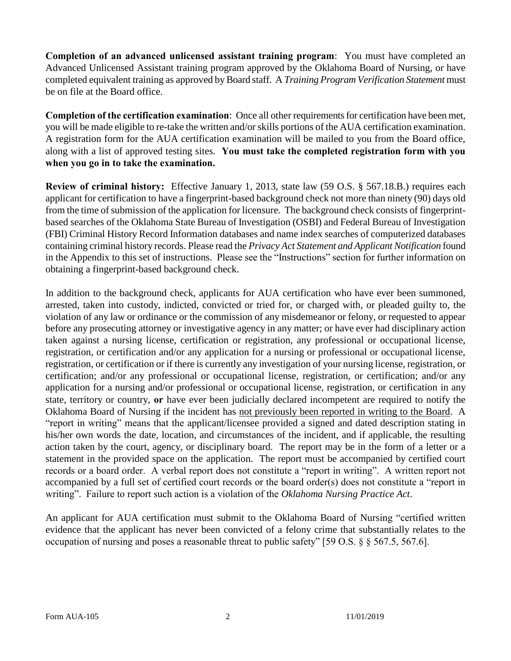**Completion of an advanced unlicensed assistant training program**: You must have completed an Advanced Unlicensed Assistant training program approved by the Oklahoma Board of Nursing, or have completed equivalent training as approved by Board staff. A *Training Program Verification Statement* must be on file at the Board office.

**Completion of the certification examination**: Once all other requirements for certification have been met, you will be made eligible to re-take the written and/or skills portions of the AUA certification examination. A registration form for the AUA certification examination will be mailed to you from the Board office, along with a list of approved testing sites. **You must take the completed registration form with you when you go in to take the examination.** 

**Review of criminal history:** Effective January 1, 2013, state law (59 O.S. § 567.18.B.) requires each applicant for certification to have a fingerprint-based background check not more than ninety (90) days old from the time of submission of the application for licensure. The background check consists of fingerprintbased searches of the Oklahoma State Bureau of Investigation (OSBI) and Federal Bureau of Investigation (FBI) Criminal History Record Information databases and name index searches of computerized databases containing criminal history records. Please read the *Privacy Act Statement and Applicant Notification* found in the Appendix to this set of instructions. Please see the "Instructions" section for further information on obtaining a fingerprint-based background check.

In addition to the background check, applicants for AUA certification who have ever been summoned, arrested, taken into custody, indicted, convicted or tried for, or charged with, or pleaded guilty to, the violation of any law or ordinance or the commission of any misdemeanor or felony, or requested to appear before any prosecuting attorney or investigative agency in any matter; or have ever had disciplinary action taken against a nursing license, certification or registration, any professional or occupational license, registration, or certification and/or any application for a nursing or professional or occupational license, registration, or certification or if there is currently any investigation of your nursing license, registration, or certification; and/or any professional or occupational license, registration, or certification; and/or any application for a nursing and/or professional or occupational license, registration, or certification in any state, territory or country, **or** have ever been judicially declared incompetent are required to notify the Oklahoma Board of Nursing if the incident has not previously been reported in writing to the Board. A "report in writing" means that the applicant/licensee provided a signed and dated description stating in his/her own words the date, location, and circumstances of the incident, and if applicable, the resulting action taken by the court, agency, or disciplinary board. The report may be in the form of a letter or a statement in the provided space on the application. The report must be accompanied by certified court records or a board order. A verbal report does not constitute a "report in writing". A written report not accompanied by a full set of certified court records or the board order(s) does not constitute a "report in writing". Failure to report such action is a violation of the *Oklahoma Nursing Practice Act*.

An applicant for AUA certification must submit to the Oklahoma Board of Nursing "certified written evidence that the applicant has never been convicted of a felony crime that substantially relates to the occupation of nursing and poses a reasonable threat to public safety" [59 O.S. § § 567.5, 567.6].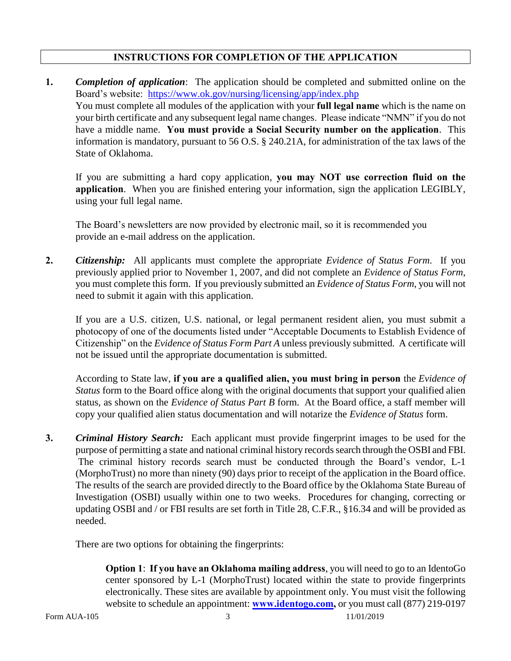## **INSTRUCTIONS FOR COMPLETION OF THE APPLICATION**

**1.** *Completion of application*: The application should be completed and submitted online on the Board's website: <https://www.ok.gov/nursing/licensing/app/index.php> You must complete all modules of the application with your **full legal name** which is the name on your birth certificate and any subsequent legal name changes. Please indicate "NMN" if you do not have a middle name. **You must provide a Social Security number on the application**. This information is mandatory, pursuant to 56 O.S. § 240.21A, for administration of the tax laws of the State of Oklahoma.

If you are submitting a hard copy application, **you may NOT use correction fluid on the application**. When you are finished entering your information, sign the application LEGIBLY, using your full legal name.

The Board's newsletters are now provided by electronic mail, so it is recommended you provide an e-mail address on the application.

**2.** *Citizenship:* All applicants must complete the appropriate *Evidence of Status Form*. If you previously applied prior to November 1, 2007, and did not complete an *Evidence of Status Form*, you must complete this form. If you previously submitted an *Evidence of Status Form*, you will not need to submit it again with this application.

If you are a U.S. citizen, U.S. national, or legal permanent resident alien, you must submit a photocopy of one of the documents listed under "Acceptable Documents to Establish Evidence of Citizenship" on the *Evidence of Status Form Part A* unless previously submitted*.* A certificate will not be issued until the appropriate documentation is submitted.

According to State law, **if you are a qualified alien, you must bring in person** the *Evidence of Status* form to the Board office along with the original documents that support your qualified alien status, as shown on the *Evidence of Status Part B* form. At the Board office, a staff member will copy your qualified alien status documentation and will notarize the *Evidence of Status* form.

**3.** *Criminal History Search:* Each applicant must provide fingerprint images to be used for the purpose of permitting a state and national criminal history records search through the OSBI and FBI. The criminal history records search must be conducted through the Board's vendor, L-1 (MorphoTrust) no more than ninety (90) days prior to receipt of the application in the Board office. The results of the search are provided directly to the Board office by the Oklahoma State Bureau of Investigation (OSBI) usually within one to two weeks. Procedures for changing, correcting or updating OSBI and / or FBI results are set forth in Title 28, C.F.R., §16.34 and will be provided as needed.

There are two options for obtaining the fingerprints:

**Option 1**: **If you have an Oklahoma mailing address**, you will need to go to an IdentoGo center sponsored by L-1 (MorphoTrust) located within the state to provide fingerprints electronically. These sites are available by appointment only. You must visit the following website to schedule an appointment: **[www.identogo.com,](http://www.identogo.com/)** or you must call (877) 219-0197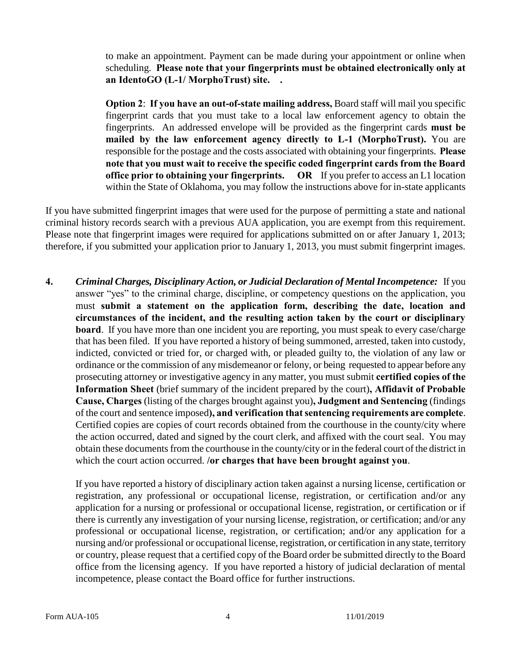to make an appointment. Payment can be made during your appointment or online when scheduling. **Please note that your fingerprints must be obtained electronically only at an IdentoGO (L-1/ MorphoTrust) site. .**

**Option 2**: **If you have an out-of-state mailing address,** Board staff will mail you specific fingerprint cards that you must take to a local law enforcement agency to obtain the fingerprints. An addressed envelope will be provided as the fingerprint cards **must be mailed by the law enforcement agency directly to L-1 (MorphoTrust).** You are responsible for the postage and the costs associated with obtaining your fingerprints. **Please note that you must wait to receive the specific coded fingerprint cards from the Board office prior to obtaining your fingerprints. OR** If you prefer to access an L1 location within the State of Oklahoma, you may follow the instructions above for in-state applicants

If you have submitted fingerprint images that were used for the purpose of permitting a state and national criminal history records search with a previous AUA application, you are exempt from this requirement. Please note that fingerprint images were required for applications submitted on or after January 1, 2013; therefore, if you submitted your application prior to January 1, 2013, you must submit fingerprint images.

**4.** *Criminal Charges, Disciplinary Action, or Judicial Declaration of Mental Incompetence:* If you answer "yes" to the criminal charge, discipline, or competency questions on the application, you must **submit a statement on the application form, describing the date, location and circumstances of the incident, and the resulting action taken by the court or disciplinary board**. If you have more than one incident you are reporting, you must speak to every case/charge that has been filed. If you have reported a history of being summoned, arrested, taken into custody, indicted, convicted or tried for, or charged with, or pleaded guilty to, the violation of any law or ordinance or the commission of any misdemeanor or felony, or being requested to appear before any prosecuting attorney or investigative agency in any matter, you must submit **certified copies of the Information Sheet** (brief summary of the incident prepared by the court)**, Affidavit of Probable Cause, Charges** (listing of the charges brought against you)**, Judgment and Sentencing** (findings of the court and sentence imposed**), and verification that sentencing requirements are complete**. Certified copies are copies of court records obtained from the courthouse in the county/city where the action occurred, dated and signed by the court clerk, and affixed with the court seal. You may obtain these documents from the courthouse in the county/city or in the federal court of the district in which the court action occurred. **/or charges that have been brought against you**.

If you have reported a history of disciplinary action taken against a nursing license, certification or registration, any professional or occupational license, registration, or certification and/or any application for a nursing or professional or occupational license, registration, or certification or if there is currently any investigation of your nursing license, registration, or certification; and/or any professional or occupational license, registration, or certification; and/or any application for a nursing and/or professional or occupational license, registration, or certification in any state, territory or country, please request that a certified copy of the Board order be submitted directly to the Board office from the licensing agency. If you have reported a history of judicial declaration of mental incompetence, please contact the Board office for further instructions.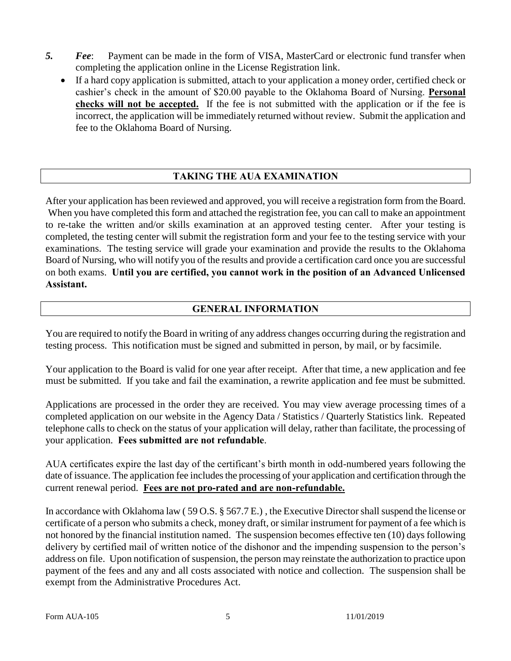- *5. Fee*: Payment can be made in the form of VISA, MasterCard or electronic fund transfer when completing the application online in the License Registration link.
	- If a hard copy application is submitted, attach to your application a money order, certified check or cashier's check in the amount of \$20.00 payable to the Oklahoma Board of Nursing. **Personal checks will not be accepted.** If the fee is not submitted with the application or if the fee is incorrect, the application will be immediately returned without review. Submit the application and fee to the Oklahoma Board of Nursing.

## **TAKING THE AUA EXAMINATION**

After your application has been reviewed and approved, you will receive a registration form from the Board. When you have completed this form and attached the registration fee, you can call to make an appointment to re-take the written and/or skills examination at an approved testing center. After your testing is completed, the testing center will submit the registration form and your fee to the testing service with your examinations. The testing service will grade your examination and provide the results to the Oklahoma Board of Nursing, who will notify you of the results and provide a certification card once you are successful on both exams. **Until you are certified, you cannot work in the position of an Advanced Unlicensed Assistant.**

#### **GENERAL INFORMATION**

You are required to notify the Board in writing of any address changes occurring during the registration and testing process. This notification must be signed and submitted in person, by mail, or by facsimile.

Your application to the Board is valid for one year after receipt. After that time, a new application and fee must be submitted. If you take and fail the examination, a rewrite application and fee must be submitted.

Applications are processed in the order they are received. You may view average processing times of a completed application on our website in the Agency Data / Statistics / Quarterly Statistics link. Repeated telephone calls to check on the status of your application will delay, rather than facilitate, the processing of your application. **Fees submitted are not refundable**.

AUA certificates expire the last day of the certificant's birth month in odd-numbered years following the date of issuance. The application fee includes the processing of your application and certification through the current renewal period. **Fees are not pro-rated and are non-refundable.**

In accordance with Oklahoma law ( 59 O.S. § 567.7 E.) , the Executive Director shall suspend the license or certificate of a person who submits a check, money draft, or similar instrument for payment of a fee which is not honored by the financial institution named. The suspension becomes effective ten (10) days following delivery by certified mail of written notice of the dishonor and the impending suspension to the person's address on file. Upon notification of suspension, the person may reinstate the authorization to practice upon payment of the fees and any and all costs associated with notice and collection. The suspension shall be exempt from the Administrative Procedures Act.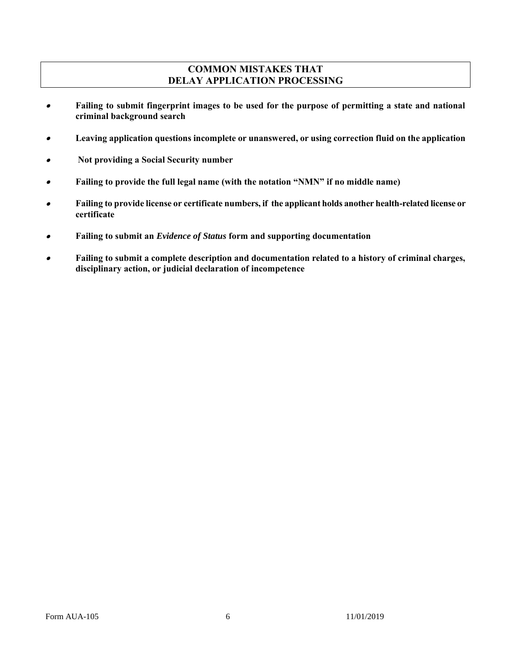## **COMMON MISTAKES THAT DELAY APPLICATION PROCESSING**

- $\bullet$  **Failing to submit fingerprint images to be used for the purpose of permitting a state and national criminal background search**
- $\bullet$ **Leaving application questions incomplete or unanswered, or using correction fluid on the application**
- **Not providing a Social Security number**
- $\bullet$ **Failing to provide the full legal name (with the notation "NMN" if no middle name)**
- $\bullet$  **Failing to provide license or certificate numbers, if the applicant holds another health-related license or certificate**
- $\bullet$ **Failing to submit an** *Evidence of Status* **form and supporting documentation**
- . **Failing to submit a complete description and documentation related to a history of criminal charges, disciplinary action, or judicial declaration of incompetence**